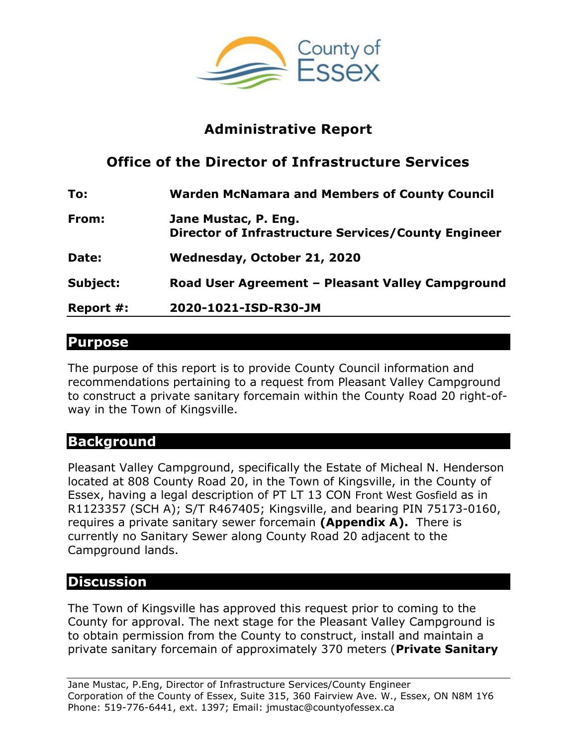

## **Administrative Report**

# **Office of the Director of Infrastructure Services**

| To:       | <b>Warden McNamara and Members of County Council</b>                        |
|-----------|-----------------------------------------------------------------------------|
| From:     | Jane Mustac, P. Eng.<br>Director of Infrastructure Services/County Engineer |
| Date:     | Wednesday, October 21, 2020                                                 |
| Subject:  | Road User Agreement - Pleasant Valley Campground                            |
| Report #: | 2020-1021-ISD-R30-JM                                                        |

## **Purpose**

The purpose of this report is to provide County Council information and recommendations pertaining to a request from Pleasant Valley Campground to construct a private sanitary forcemain within the County Road 20 right-ofway in the Town of Kingsville.

#### **Background**

Pleasant Valley Campground, specifically the Estate of Micheal N. Henderson located at 808 County Road 20, in the Town of Kingsville, in the County of Essex, having a legal description of PT LT 13 CON Front West Gosfield as in R1123357 (SCH A); S/T R467405; Kingsville, and bearing PIN 75173-0160, requires a private sanitary sewer forcemain **(Appendix A).** There is currently no Sanitary Sewer along County Road 20 adjacent to the Campground lands.

## **Discussion**

The Town of Kingsville has approved this request prior to coming to the County for approval. The next stage for the Pleasant Valley Campground is to obtain permission from the County to construct, install and maintain a private sanitary forcemain of approximately 370 meters (**Private Sanitary**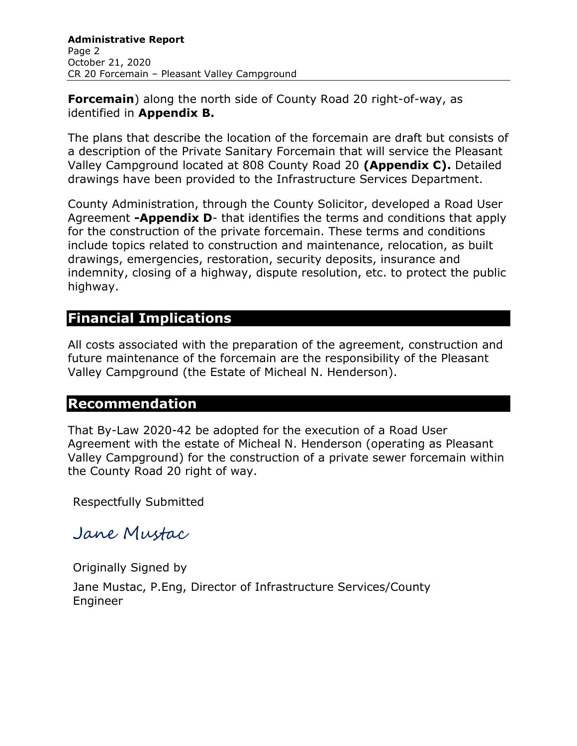**Forcemain**) along the north side of County Road 20 right-of-way, as identified in **Appendix B.**

The plans that describe the location of the forcemain are draft but consists of a description of the Private Sanitary Forcemain that will service the Pleasant Valley Campground located at 808 County Road 20 **(Appendix C).** Detailed drawings have been provided to the Infrastructure Services Department.

County Administration, through the County Solicitor, developed a Road User Agreement **-Appendix D**- that identifies the terms and conditions that apply for the construction of the private forcemain. These terms and conditions include topics related to construction and maintenance, relocation, as built drawings, emergencies, restoration, security deposits, insurance and indemnity, closing of a highway, dispute resolution, etc. to protect the public highway.

## **Financial Implications**

All costs associated with the preparation of the agreement, construction and future maintenance of the forcemain are the responsibility of the Pleasant Valley Campground (the Estate of Micheal N. Henderson).

#### **Recommendation**

That By-Law 2020-42 be adopted for the execution of a Road User Agreement with the estate of Micheal N. Henderson (operating as Pleasant Valley Campground) for the construction of a private sewer forcemain within the County Road 20 right of way.

Respectfully Submitted

Jane Mustac

Originally Signed by

Jane Mustac, P.Eng, Director of Infrastructure Services/County Engineer